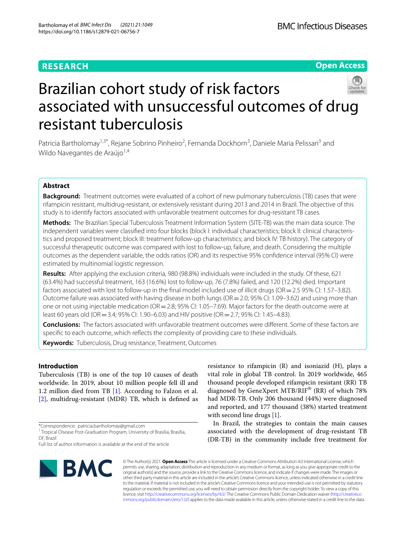## **RESEARCH**

**Open Access**

# Brazilian cohort study of risk factors associated with unsuccessful outcomes of drug resistant tuberculosis

Patricia Bartholomay<sup>1,3\*</sup>, Rejane Sobrino Pinheiro<sup>2</sup>, Fernanda Dockhorn<sup>3</sup>, Daniele Maria Pelissari<sup>3</sup> and Wildo Navegantes de Araújo<sup>1,4</sup>

### **Abstract**

**Background:** Treatment outcomes were evaluated of a cohort of new pulmonary tuberculosis (TB) cases that were rifampicin resistant, multidrug-resistant, or extensively resistant during 2013 and 2014 in Brazil. The objective of this study is to identify factors associated with unfavorable treatment outcomes for drug-resistant TB cases.

**Methods:** The Brazilian Special Tuberculosis Treatment Information System (SITE-TB) was the main data source. The independent variables were classifed into four blocks (block I: individual characteristics; block II: clinical characteristics and proposed treatment; block III: treatment follow-up characteristics; and block IV: TB history). The category of successful therapeutic outcome was compared with lost to follow-up, failure, and death. Considering the multiple outcomes as the dependent variable, the odds ratios (OR) and its respective 95% confdence interval (95% CI) were estimated by multinomial logistic regression.

**Results:** After applying the exclusion criteria, 980 (98.8%) individuals were included in the study. Of these, 621 (63.4%) had successful treatment, 163 (16.6%) lost to follow-up, 76 (7.8%) failed, and 120 (12.2%) died. Important factors associated with lost to follow-up in the final model included use of illicit drugs ( $OR = 2.5$  95% CI: 1.57–3.82). Outcome failure was associated with having disease in both lungs (OR = 2.0; 95% CI: 1.09–3.62) and using more than one or not using injectable medication ( $OR = 2.8$ ;  $95\%$  CI: 1.05–7.69). Major factors for the death outcome were at least 60 years old (OR = 3.4; 95% CI: 1.90–6.03) and HIV positive (OR = 2.7; 95% CI: 1.45–4.83).

**Conclusions:** The factors associated with unfavorable treatment outcomes were diferent. Some of these factors are specifc to each outcome, which refects the complexity of providing care to these individuals.

**Keywords:** Tuberculosis, Drug resistance, Treatment, Outcomes

#### **Introduction**

Tuberculosis (TB) is one of the top 10 causes of death worldwide. In 2019, about 10 million people fell ill and 1.2 million died from TB [\[1](#page-11-0)]. According to Falzon et al. [[2\]](#page-11-1), multidrug-resistant (MDR) TB, which is defned as

Full list of author information is available at the end of the article



resistance to rifampicin (R) and isoniazid (H), plays a vital role in global TB control. In 2019 worldwide, 465 thousand people developed rifampicin resistant (RR) TB diagnosed by GeneXpert MTB/RIF® (RR) of which 78% had MDR-TB. Only 206 thousand (44%) were diagnosed and reported, and 177 thousand (38%) started treatment with second line drugs [\[1](#page-11-0)].

In Brazil, the strategies to contain the main causes associated with the development of drug-resistant TB (DR-TB) in the community include free treatment for

© The Author(s) 2021. **Open Access** This article is licensed under a Creative Commons Attribution 4.0 International License, which permits use, sharing, adaptation, distribution and reproduction in any medium or format, as long as you give appropriate credit to the original author(s) and the source, provide a link to the Creative Commons licence, and indicate if changes were made. The images or other third party material in this article are included in the article's Creative Commons licence, unless indicated otherwise in a credit line to the material. If material is not included in the article's Creative Commons licence and your intended use is not permitted by statutory regulation or exceeds the permitted use, you will need to obtain permission directly from the copyright holder. To view a copy of this licence, visit [http://creativecommons.org/licenses/by/4.0/.](http://creativecommons.org/licenses/by/4.0/) The Creative Commons Public Domain Dedication waiver ([http://creativeco](http://creativecommons.org/publicdomain/zero/1.0/) [mmons.org/publicdomain/zero/1.0/](http://creativecommons.org/publicdomain/zero/1.0/)) applies to the data made available in this article, unless otherwise stated in a credit line to the data.

<sup>\*</sup>Correspondence: patricia.bartholomay@gmail.com

<sup>&</sup>lt;sup>1</sup> Tropical Disease Post-Graduation Program, University of Brasilia, Brasília, DE, Brazil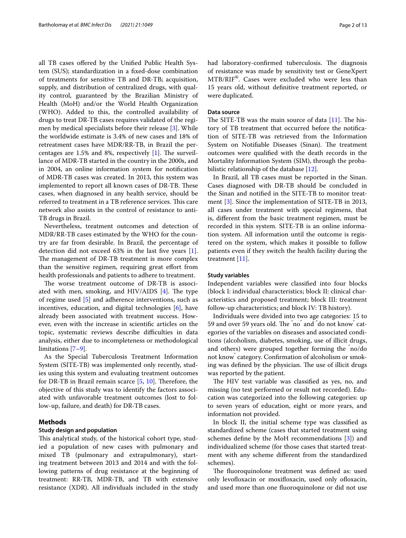all TB cases ofered by the Unifed Public Health System (SUS); standardization in a fxed-dose combination of treatments for sensitive TB and DR-TB; acquisition, supply, and distribution of centralized drugs, with quality control, guaranteed by the Brazilian Ministry of Health (MoH) and/or the World Health Organization (WHO). Added to this, the controlled availability of drugs to treat DR-TB cases requires validated of the regimen by medical specialists before their release [[3\]](#page-11-2). While the worldwide estimate is 3.4% of new cases and 18% of retreatment cases have MDR/RR-TB, in Brazil the percentages are  $1.5\%$  and 8%, respectively [\[1](#page-11-0)]. The surveillance of MDR-TB started in the country in the 2000s, and in 2004, an online information system for notifcation of MDR-TB cases was created. In 2013, this system was implemented to report all known cases of DR-TB. These cases, when diagnosed in any health service, should be referred to treatment in a TB reference services. This care network also assists in the control of resistance to anti-TB drugs in Brazil.

Nevertheless, treatment outcomes and detection of MDR/RR-TB cases estimated by the WHO for the country are far from desirable. In Brazil, the percentage of detection did not exceed 63% in the last fve years [\[1](#page-11-0)]. The management of DR-TB treatment is more complex than the sensitive regimen, requiring great effort from health professionals and patients to adhere to treatment.

The worse treatment outcome of DR-TB is associated with men, smoking, and HIV/AIDS  $[4]$  $[4]$ . The type of regime used [\[5\]](#page-11-4) and adherence interventions, such as incentives, education, and digital technologies  $[6]$  $[6]$ , have already been associated with treatment success. However, even with the increase in scientifc articles on the topic, systematic reviews describe difficulties in data analysis, either due to incompleteness or methodological limitations [\[7](#page-11-6)[–9\]](#page-11-7).

As the Special Tuberculosis Treatment Information System (SITE-TB) was implemented only recently, studies using this system and evaluating treatment outcomes for DR-TB in Brazil remain scarce  $[5, 10]$  $[5, 10]$  $[5, 10]$  $[5, 10]$ . Therefore, the objective of this study was to identify the factors associated with unfavorable treatment outcomes (lost to follow-up, failure, and death) for DR-TB cases.

#### **Methods**

#### **Study design and population**

This analytical study, of the historical cohort type, studied a population of new cases with pulmonary and mixed TB (pulmonary and extrapulmonary), starting treatment between 2013 and 2014 and with the following patterns of drug resistance at the beginning of treatment: RR-TB, MDR-TB, and TB with extensive resistance (XDR). All individuals included in the study had laboratory-confirmed tuberculosis. The diagnosis of resistance was made by sensitivity test or GeneXpert MTB/RIF®. Cases were excluded who were less than 15 years old, without defnitive treatment reported, or were duplicated.

#### **Data source**

The SITE-TB was the main source of data  $[11]$ . The history of TB treatment that occurred before the notifcation of SITE-TB was retrieved from the Information System on Notifiable Diseases (Sinan). The treatment outcomes were qualifed with the death records in the Mortality Information System (SIM), through the proba-bilistic relationship of the database [[12\]](#page-11-10).

In Brazil, all TB cases must be reported in the Sinan. Cases diagnosed with DR-TB should be concluded in the Sinan and notifed in the SITE-TB to monitor treatment [\[3](#page-11-2)]. Since the implementation of SITE-TB in 2013, all cases under treatment with special regimens, that is, diferent from the basic treatment regimen, must be recorded in this system. SITE-TB is an online information system. All information until the outcome is registered on the system, which makes it possible to follow patients even if they switch the health facility during the treatment [[11](#page-11-9)].

#### **Study variables**

Independent variables were classifed into four blocks (block I: individual characteristics; block II: clinical characteristics and proposed treatment; block III: treatment follow-up characteristics; and block IV: TB history).

Individuals were divided into two age categories: 15 to 59 and over 59 years old. The "no" and "do not know" categories of the variables on diseases and associated conditions (alcoholism, diabetes, smoking, use of illicit drugs, and others) were grouped together forming the " no/do not know" category. Confrmation of alcoholism or smoking was defined by the physician. The use of illicit drugs was reported by the patient.

The HIV test variable was classified as yes, no, and missing (no test performed or result not recorded). Education was categorized into the following categories: up to seven years of education, eight or more years, and information not provided.

In block II, the initial scheme type was classifed as standardized scheme (cases that started treatment using schemes defne by the MoH recommendations [\[3](#page-11-2)]) and individualized scheme (for those cases that started treatment with any scheme diferent from the standardized schemes).

The fluoroquinolone treatment was defined as: used only levofloxacin or moxifloxacin, used only ofloxacin, and used more than one fuoroquinolone or did not use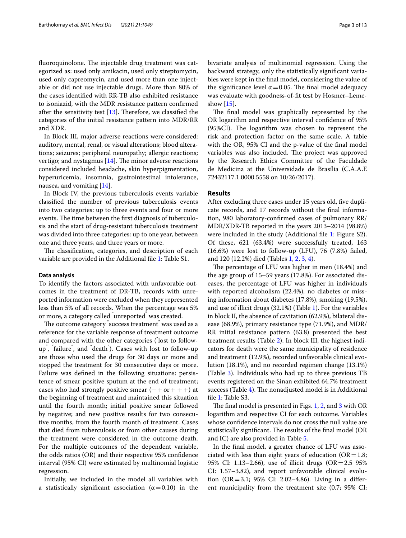fluoroquinolone. The injectable drug treatment was categorized as: used only amikacin, used only streptomycin, used only capreomycin, and used more than one injectable or did not use injectable drugs. More than 80% of the cases identifed with RR-TB also exhibited resistance to isoniazid, with the MDR resistance pattern confrmed after the sensitivity test  $[13]$  $[13]$ . Therefore, we classified the categories of the initial resistance pattern into MDR/RR and XDR.

In Block III, major adverse reactions were considered: auditory, mental, renal, or visual alterations; blood alterations; seizures; peripheral neuropathy; allergic reactions; vertigo; and nystagmus  $[14]$  $[14]$ . The minor adverse reactions considered included headache, skin hyperpigmentation, hyperuricemia, insomnia, gastrointestinal intolerance, nausea, and vomiting [\[14\]](#page-11-12).

In Block IV, the previous tuberculosis events variable classifed the number of previous tuberculosis events into two categories: up to three events and four or more events. The time between the first diagnosis of tuberculosis and the start of drug-resistant tuberculosis treatment was divided into three categories: up to one year, between one and three years, and three years or more.

The classification, categories, and description of each variable are provided in the Additional fle [1](#page-11-13): Table S1.

#### **Data analysis**

To identify the factors associated with unfavorable outcomes in the treatment of DR-TB, records with unreported information were excluded when they represented less than 5% of all records. When the percentage was 5% or more, a category called " unreported" was created.

The outcome category  $\degree$ success treatment $\degree$  was used as a reference for the variable response of treatment outcome and compared with the other categories (" lost to followup" , " failure" , and " death" ). Cases with lost to follow-up are those who used the drugs for 30 days or more and stopped the treatment for 30 consecutive days or more. Failure was defned in the following situations: persistence of smear positive sputum at the end of treatment; cases who had strongly positive smear  $(++o r +++)$  at the beginning of treatment and maintained this situation until the fourth month; initial positive smear followed by negative; and new positive results for two consecutive months, from the fourth month of treatment. Cases that died from tuberculosis or from other causes during the treatment were considered in the outcome death. For the multiple outcomes of the dependent variable, the odds ratios (OR) and their respective 95% confdence interval (95% CI) were estimated by multinomial logistic regression.

Initially, we included in the model all variables with a statistically significant association  $(\alpha = 0.10)$  in the bivariate analysis of multinomial regression. Using the backward strategy, only the statistically signifcant variables were kept in the fnal model, considering the value of the significance level  $\alpha$  = 0.05. The final model adequacy was evaluate with goodness-of-ft test by Hosmer–Lemeshow [\[15](#page-11-14)].

The final model was graphically represented by the OR logarithm and respective interval confdence of 95% (95%CI). The logarithm was chosen to represent the risk and protection factor on the same scale. A table with the OR, 95% CI and the p-value of the fnal model variables was also included. The project was approved by the Research Ethics Committee of the Faculdade de Medicina at the Universidade de Brasília (C.A.A.E 72432117.1.0000.5558 on 10/26/2017).

#### **Results**

After excluding three cases under 15 years old, fve duplicate records, and 17 records without the fnal information, 980 laboratory-confrmed cases of pulmonary RR/ MDR/XDR-TB reported in the years 2013–2014 (98.8%) were included in the study (Additional fle [1:](#page-11-13) Figure S2). Of these, 621 (63.4%) were successfully treated, 163 (16.6%) were lost to follow-up (LFU), 76 (7.8%) failed, and 120 (12.2%) died (Tables [1,](#page-3-0) [2](#page-5-0), [3](#page-6-0), [4\)](#page-6-1).

The percentage of LFU was higher in men (18.4%) and the age group of 15–59 years (17.8%). For associated diseases, the percentage of LFU was higher in individuals with reported alcoholism (22.4%), no diabetes or missing information about diabetes (17.8%), smoking (19.5%), and use of illicit drugs (32.1%) (Table [1](#page-3-0)). For the variables in block II, the absence of cavitation (62.9%), bilateral disease (68.9%), primary resistance type (71.9%), and MDR/ RR initial resistance pattern (63.8) presented the best treatment results (Table [2\)](#page-5-0). In block III, the highest indicators for death were the same municipality of residence and treatment (12.9%), recorded unfavorable clinical evolution (18.1%), and no recorded regimen change (13.1%) (Table [3\)](#page-6-0). Individuals who had up to three previous TB events registered on the Sinan exhibited 64.7% treatment success (Table [4\)](#page-6-1). The nonadjusted model is in Additional fle [1](#page-11-13): Table S3.

The final model is presented in Figs.  $1, 2$  $1, 2$ , and  $3$  with OR logarithm and respective CI for each outcome. Variables whose confdence intervals do not cross the null value are statistically significant. The results of the final model (OR and IC) are also provided in Table [5.](#page-9-0)

In the fnal model, a greater chance of LFU was associated with less than eight years of education ( $OR=1.8$ ; 95% CI: 1.13–2.66), use of illicit drugs (OR=2.5 95% CI: 1.57–3.82), and report unfavorable clinical evolution (OR=3.1; 95% CI: 2.02–4.86). Living in a different municipality from the treatment site (0.7; 95% CI: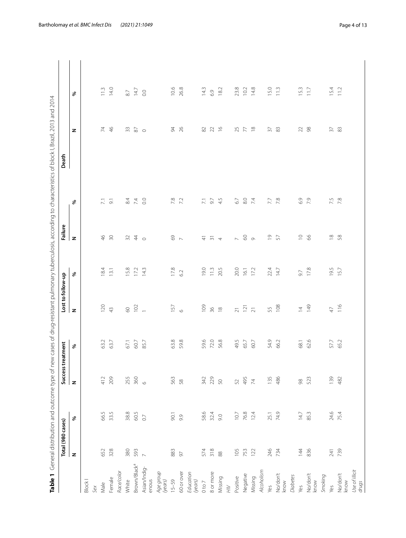<span id="page-3-0"></span>

|                          |                                          | Table 1 General distribution and outcome type of n |                      |              |                             |                                               |                                           |                               | ew cases of drug-resistant pulmonary tuberculosis, according to characteristics of block l, Brazil, 2013 and 2014 |                                            |
|--------------------------|------------------------------------------|----------------------------------------------------|----------------------|--------------|-----------------------------|-----------------------------------------------|-------------------------------------------|-------------------------------|-------------------------------------------------------------------------------------------------------------------|--------------------------------------------|
|                          | Total (980 cases)                        |                                                    | Success <sup>1</sup> | treatment    | Lost to follow-up           |                                               | Failure                                   |                               | Death                                                                                                             |                                            |
|                          | z                                        | %                                                  | z                    | %            | z                           | $\%$                                          | z                                         | %                             | z                                                                                                                 | శి                                         |
| Block I                  |                                          |                                                    |                      |              |                             |                                               |                                           |                               |                                                                                                                   |                                            |
| Sex                      |                                          |                                                    |                      |              |                             |                                               |                                           |                               |                                                                                                                   |                                            |
| Male                     | 652                                      | 66.5                                               | 412                  | 63.2         | 120                         | 184                                           | $46$<br>30                                | $\overline{z}$ $\overline{z}$ | 740                                                                                                               |                                            |
| Female                   | 328                                      | 33.5                                               | 209                  | 63.7         | $\overline{4}$              | 13.1                                          |                                           |                               |                                                                                                                   | $\begin{array}{cc} 1.3 \\ 1.5 \end{array}$ |
| Race/color               |                                          |                                                    |                      |              |                             |                                               |                                           |                               |                                                                                                                   |                                            |
| White                    | 380                                      | $38.8$                                             | 255                  | 67.1         |                             |                                               |                                           |                               |                                                                                                                   | $8.7\,$                                    |
| Brown/Black <sup>a</sup> | 593                                      | 60.5                                               | 360                  | 60.7         | $8^{2} -$                   | $15.8$<br>$17.2$<br>$14.3$                    | 240                                       | 84<br>74<br>84<br>90          | $\begin{array}{c} 3 \\ 8 \end{array}$                                                                             | 14.7                                       |
| Asian/Indig-<br>enous    | $\overline{\phantom{0}}$                 | $\overline{0}$                                     | $\circ$              | 85.7         |                             |                                               |                                           |                               |                                                                                                                   | $_{\odot}$                                 |
| Age group<br>(years)     |                                          |                                                    |                      |              |                             |                                               |                                           |                               |                                                                                                                   |                                            |
| $15 - 59$                | 883                                      | 90.1                                               | 563                  | 63.8         | 157                         | 17.8                                          |                                           |                               |                                                                                                                   | 10.6                                       |
| 60 or over               | 97                                       | 9.9                                                | 58                   | 59.8         | $\circ$                     | 6.2                                           | 69                                        | 7.8                           | 94<br>26                                                                                                          | 26.8                                       |
| Education<br>(years)     |                                          |                                                    |                      |              |                             |                                               |                                           |                               |                                                                                                                   |                                            |
| $0$ to $7\,$             | 574                                      | 58.6                                               | 342                  | 59.6         | $\overline{501}$            | 19.0                                          |                                           |                               | $82\,$                                                                                                            | 14.3                                       |
| 8 or more                | $\begin{array}{c} 318 \\ 88 \end{array}$ | 32.4                                               | 229                  | 72.0<br>56.8 | $\frac{8}{2}$ 8             | $11.3$<br>20.5                                | $\frac{1}{4}$ $\frac{1}{2}$ $\frac{1}{4}$ | $7.1$<br>9.7<br>4.5           | $22 - 16$                                                                                                         | 6.9<br>18.2                                |
| Missing                  |                                          | 0.6                                                | 50                   |              |                             |                                               |                                           |                               |                                                                                                                   |                                            |
| $\gtrsim$                |                                          |                                                    |                      |              |                             |                                               |                                           |                               |                                                                                                                   |                                            |
| Positive                 | 105                                      | 10.7                                               | 52                   | 49.5         |                             | 20.0                                          |                                           | $67$                          |                                                                                                                   | 23.8                                       |
| Negative                 | 753<br>122                               | 76.8                                               | 495                  | 65.7         | $\frac{5}{2}$ $\frac{5}{2}$ | 16.1                                          | $R$ $\circ$ $\circ$                       | $8.0\,$                       | $\begin{array}{c} 25 \\ 7 \\ 8 \end{array}$                                                                       | 10.2                                       |
| Missing                  |                                          | 12.4                                               | $\overline{7}$       | 60.7         |                             |                                               |                                           | $\overline{74}$               |                                                                                                                   | 14.8                                       |
| Alcoholism               |                                          |                                                    |                      |              |                             |                                               |                                           |                               |                                                                                                                   |                                            |
| Yes                      | 246                                      | 25.1                                               | 135                  | 54.9         | 55<br>108                   | 22.4                                          | $\frac{6}{5}$                             | $7.7$ 8                       | $\frac{2}{3}$                                                                                                     | 15.0                                       |
| No/don't<br>know         | 734                                      | 74.9                                               | 486                  | 66.2         |                             | 14.7                                          |                                           |                               |                                                                                                                   | $\frac{3}{11}$                             |
| Diabetes                 |                                          |                                                    |                      |              |                             |                                               |                                           |                               |                                                                                                                   |                                            |
| Yes                      | 144                                      | 14.7                                               | $\frac{8}{2}$        | 68.1         | $\overline{4}$              | 5.6                                           | $\supseteq$                               | $6.9$                         | $\mathcal{Z}$                                                                                                     | 15.3                                       |
| No/don't<br>know         | 836                                      | 85.3                                               | 523                  | 62.6         | 149                         | 17.8                                          | 8                                         | 7.9                           | 98                                                                                                                | 11.7                                       |
| Smoking                  |                                          |                                                    |                      |              |                             |                                               |                                           |                               |                                                                                                                   |                                            |
| Yes                      | 241                                      | 24.6                                               | 139                  | 57.7<br>65.2 | $47\,$                      | $\begin{array}{c}\n19.5 \\ 15.7\n\end{array}$ | $\frac{8}{2}$                             | 7.5                           | $\frac{5}{2}$ &                                                                                                   | 15.4                                       |
| No/don't<br>know         | 739                                      | 75.4                                               | 482                  |              | 116                         |                                               |                                           |                               |                                                                                                                   | 11.2                                       |
| Use of illicit           |                                          |                                                    |                      |              |                             |                                               |                                           |                               |                                                                                                                   |                                            |
| drugs                    |                                          |                                                    |                      |              |                             |                                               |                                           |                               |                                                                                                                   |                                            |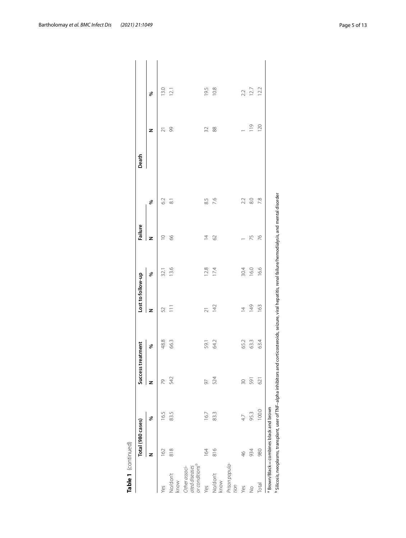|                                                              | Total (980 cases) |       | Success treatment |      | Lost to follow-up |      | Failure        |           | Death |               |               |  |
|--------------------------------------------------------------|-------------------|-------|-------------------|------|-------------------|------|----------------|-----------|-------|---------------|---------------|--|
|                                                              | z                 | ℅     | z                 | ৡ    | z                 | ℅    | z              | ℅         |       | z             | ৡ             |  |
| Yes                                                          | 162               | 16.5  | 2                 | 48.8 | 52                | 32.1 | $\supseteq$    | 62        |       | $\bar{\sim}$  | 13.0          |  |
| No/don't<br>know                                             | 818               | 83.5  | 542               | 66.3 | $\overline{11}$   | 13.6 | 89             | $\approx$ |       | 99            | 12.1          |  |
| or conditions <sup>o</sup><br>Other associ-<br>ated diseases |                   |       |                   |      |                   |      |                |           |       |               |               |  |
| Yes                                                          | 164               | 167   | 50                | 59.1 | $\overline{21}$   | 12.8 | $\overline{4}$ | 85        |       | 32            | 19.5          |  |
| No/don't<br>know                                             | 816               | 83.3  | 524               | 64.2 | 142               | 174  | 62             | 7.6       |       | 88            | 10.8          |  |
| Prison popula-<br>tion                                       |                   |       |                   |      |                   |      |                |           |       |               |               |  |
| Yes                                                          | $\frac{46}{5}$    | 47    | $\approx$         | 65.2 | $\overline{4}$    | 30.4 |                | 2.2       |       |               |               |  |
| $\frac{1}{2}$                                                | 934               | 95.3  | 591               | 63.3 | 149               | 16.0 | 75             | 8.0       |       | $\frac{1}{9}$ | $2.2$<br>12.7 |  |
| Total                                                        | 980               | 100.0 | 621               | 63.4 | 163               | 16.6 | 76             | 7.8       |       | 120           | 12.2          |  |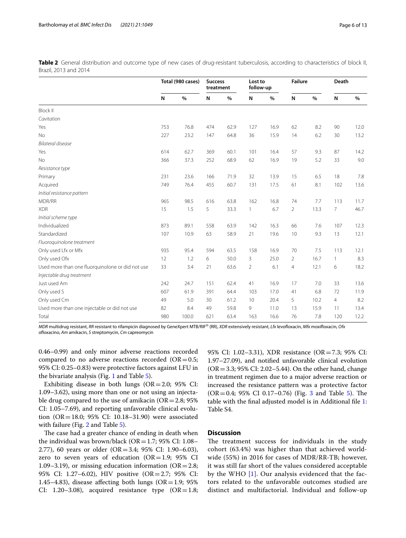<span id="page-5-0"></span>**Table 2** General distribution and outcome type of new cases of drug-resistant tuberculosis, according to characteristics of block II, Brazil, 2013 and 2014

|                                                  |     | Total (980 cases) | <b>Success</b><br>treatment |      | Lost to<br>follow-up |      | <b>Failure</b> |      | Death          |      |
|--------------------------------------------------|-----|-------------------|-----------------------------|------|----------------------|------|----------------|------|----------------|------|
|                                                  | N   | $\%$              | N                           | $\%$ | N                    | $\%$ | N              | $\%$ | N              | $\%$ |
| <b>Block II</b>                                  |     |                   |                             |      |                      |      |                |      |                |      |
| Cavitation                                       |     |                   |                             |      |                      |      |                |      |                |      |
| Yes                                              | 753 | 76.8              | 474                         | 62.9 | 127                  | 16.9 | 62             | 8.2  | 90             | 12.0 |
| <b>No</b>                                        | 227 | 23.2              | 147                         | 64.8 | 36                   | 15.9 | 14             | 6.2  | 30             | 13.2 |
| Bilateral disease                                |     |                   |                             |      |                      |      |                |      |                |      |
| Yes                                              | 614 | 62.7              | 369                         | 60.1 | 101                  | 16.4 | 57             | 9.3  | 87             | 14.2 |
| <b>No</b>                                        | 366 | 37.3              | 252                         | 68.9 | 62                   | 16.9 | 19             | 5.2  | 33             | 9.0  |
| Resistance type                                  |     |                   |                             |      |                      |      |                |      |                |      |
| Primary                                          | 231 | 23.6              | 166                         | 71.9 | 32                   | 13.9 | 15             | 6.5  | 18             | 7.8  |
| Acquired                                         | 749 | 76.4              | 455                         | 60.7 | 131                  | 17.5 | 61             | 8.1  | 102            | 13.6 |
| Initial resistance pattern                       |     |                   |                             |      |                      |      |                |      |                |      |
| MDR/RR                                           | 965 | 98.5              | 616                         | 63.8 | 162                  | 16.8 | 74             | 7.7  | 113            | 11.7 |
| <b>XDR</b>                                       | 15  | 1.5               | 5                           | 33.3 | 1                    | 6.7  | $\overline{2}$ | 13.3 | 7              | 46.7 |
| Initial scheme type                              |     |                   |                             |      |                      |      |                |      |                |      |
| Individualized                                   | 873 | 89.1              | 558                         | 63.9 | 142                  | 16.3 | 66             | 7.6  | 107            | 12.3 |
| Standardized                                     | 107 | 10.9              | 63                          | 58.9 | 21                   | 19.6 | 10             | 9.3  | 13             | 12.1 |
| Fluoroquinolone treatment                        |     |                   |                             |      |                      |      |                |      |                |      |
| Only used Lfx or Mfx                             | 935 | 95.4              | 594                         | 63.5 | 158                  | 16.9 | 70             | 7.5  | 113            | 12.1 |
| Only used Ofx                                    | 12  | 1.2               | 6                           | 50.0 | 3                    | 25.0 | $\overline{2}$ | 16.7 | $\mathbf{1}$   | 8.3  |
| Used more than one fluorquinolone or did not use | 33  | 3.4               | 21                          | 63.6 | $\overline{2}$       | 6.1  | $\overline{4}$ | 12.1 | 6              | 18.2 |
| Injectable drug treatment                        |     |                   |                             |      |                      |      |                |      |                |      |
| Just used Am                                     | 242 | 24.7              | 151                         | 62.4 | 41                   | 16.9 | 17             | 7.0  | 33             | 13.6 |
| Only used S                                      | 607 | 61.9              | 391                         | 64.4 | 103                  | 17.0 | 41             | 6.8  | 72             | 11.9 |
| Only used Cm                                     | 49  | 5.0               | 30                          | 61.2 | 10                   | 20.4 | 5              | 10.2 | $\overline{4}$ | 8.2  |
| Used more than one injectable or did not use     | 82  | 8.4               | 49                          | 59.8 | 9                    | 11.0 | 13             | 15.9 | 11             | 13.4 |
| Total                                            | 980 | 100.0             | 621                         | 63.4 | 163                  | 16.6 | 76             | 7.8  | 120            | 12.2 |

*MDR* multidrug resistant, *RR* resistant to rifampicin diagnosed by GeneXpert MTB/RIF® (RR), *XDR* extensively resistant, *Lfx* levofoxacin, *Mfx* moxifoxacin, *Ofx* ofoxacino, *Am* amikacin, *S* streptomycin, *Cm* capreomycin

0.46–0.99) and only minor adverse reactions recorded compared to no adverse reactions recorded ( $OR = 0.5$ ; 95% CI: 0.25–0.83) were protective factors against LFU in the bivariate analysis (Fig. [1](#page-7-0) and Table [5](#page-9-0)).

Exhibiting disease in both lungs ( $OR = 2.0$ ; 95% CI: 1.09–3.62), using more than one or not using an injectable drug compared to the use of amikacin ( $OR = 2.8$ ; 95% CI: 1.05–7.69), and reporting unfavorable clinical evolution (OR=18.0; 95% CI: 10.18–31.90) were associated with failure (Fig. [2](#page-7-1) and Table [5](#page-9-0)).

The case had a greater chance of ending in death when the individual was brown/black ( $OR = 1.7$ ; 95% CI: 1.08– 2.77), 60 years or older (OR=3.4; 95% CI: 1.90–6.03), zero to seven years of education  $(OR=1.9; 95\% \text{ CI})$ 1.09–3.19), or missing education information ( $OR = 2.8$ ; 95% CI: 1.27–6.02), HIV positive (OR=2.7; 95% CI: 1.45–4.83), disease affecting both lungs ( $OR=1.9$ ; 95% CI: 1.20–3.08), acquired resistance type  $(OR=1.8;$  95% CI: 1.02–3.31), XDR resistance (OR=7.3; 95% CI: 1.97–27.09), and notifed unfavorable clinical evolution  $(OR = 3.3; 95\% CI: 2.02–5.44)$ . On the other hand, change in treatment regimen due to a major adverse reaction or increased the resistance pattern was a protective factor  $(OR = 0.4; 95\% \text{ CI } 0.17 - 0.76)$  (Fig. [3](#page-8-0) and Table [5\)](#page-9-0). The table with the fnal adjusted model is in Additional fle [1](#page-11-13): Table S4.

#### **Discussion**

The treatment success for individuals in the study cohort (63.4%) was higher than that achieved worldwide (55%) in 2016 for cases of MDR/RR-TB; however, it was still far short of the values considered acceptable by the WHO [[1\]](#page-11-0). Our analysis evidenced that the factors related to the unfavorable outcomes studied are distinct and multifactorial. Individual and follow-up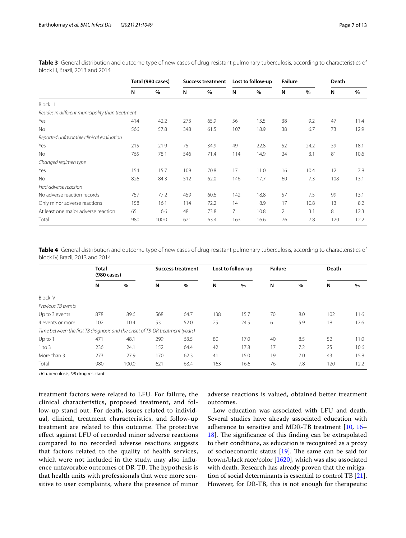<span id="page-6-0"></span>**Table 3** General distribution and outcome type of new cases of drug-resistant pulmonary tuberculosis, according to characteristics of block III, Brazil, 2013 and 2014

|                                                  |     | Total (980 cases) |     | <b>Success treatment</b> |                | Lost to follow-up | <b>Failure</b> |      | Death |      |
|--------------------------------------------------|-----|-------------------|-----|--------------------------|----------------|-------------------|----------------|------|-------|------|
|                                                  | N   | $\%$              | N   | $\%$                     | N              | $\%$              | N              | %    | N     | $\%$ |
| <b>Block III</b>                                 |     |                   |     |                          |                |                   |                |      |       |      |
| Resides in different municipality than treatment |     |                   |     |                          |                |                   |                |      |       |      |
| Yes                                              | 414 | 42.2              | 273 | 65.9                     | 56             | 13.5              | 38             | 9.2  | 47    | 11.4 |
| No                                               | 566 | 57.8              | 348 | 61.5                     | 107            | 18.9              | 38             | 6.7  | 73    | 12.9 |
| Reported unfavorable clinical evaluation         |     |                   |     |                          |                |                   |                |      |       |      |
| Yes                                              | 215 | 21.9              | 75  | 34.9                     | 49             | 22.8              | 52             | 24.2 | 39    | 18.1 |
| <b>No</b>                                        | 765 | 78.1              | 546 | 71.4                     | 114            | 14.9              | 24             | 3.1  | 81    | 10.6 |
| Changed regimen type                             |     |                   |     |                          |                |                   |                |      |       |      |
| Yes                                              | 154 | 15.7              | 109 | 70.8                     | 17             | 11.0              | 16             | 10.4 | 12    | 7.8  |
| <b>No</b>                                        | 826 | 84.3              | 512 | 62.0                     | 146            | 17.7              | 60             | 7.3  | 108   | 13.1 |
| Had adverse reaction                             |     |                   |     |                          |                |                   |                |      |       |      |
| No adverse reaction records                      | 757 | 77.2              | 459 | 60.6                     | 142            | 18.8              | 57             | 7.5  | 99    | 13.1 |
| Only minor adverse reactions                     | 158 | 16.1              | 114 | 72.2                     | 14             | 8.9               | 17             | 10.8 | 13    | 8.2  |
| At least one major adverse reaction              | 65  | 6.6               | 48  | 73.8                     | $\overline{7}$ | 10.8              | $\overline{2}$ | 3.1  | 8     | 12.3 |
| Total                                            | 980 | 100.0             | 621 | 63.4                     | 163            | 16.6              | 76             | 7.8  | 120   | 12.2 |

<span id="page-6-1"></span>**Table 4** General distribution and outcome type of new cases of drug-resistant pulmonary tuberculosis, according to characteristics of block IV, Brazil, 2013 and 2014

|                                                                              | <b>Total</b><br>(980 cases) |       |     | <b>Success treatment</b> |     | Lost to follow-up | <b>Failure</b> |      | Death |      |
|------------------------------------------------------------------------------|-----------------------------|-------|-----|--------------------------|-----|-------------------|----------------|------|-------|------|
|                                                                              | N                           | $\%$  | N   | $\%$                     | N   | $\%$              | N              | $\%$ | N     | $\%$ |
| <b>Block IV</b>                                                              |                             |       |     |                          |     |                   |                |      |       |      |
| Previous TB events                                                           |                             |       |     |                          |     |                   |                |      |       |      |
| Up to 3 events                                                               | 878                         | 89.6  | 568 | 64.7                     | 138 | 15.7              | 70             | 8.0  | 102   | 11.6 |
| 4 events or more                                                             | 102                         | 10.4  | 53  | 52.0                     | 25  | 24.5              | 6              | 5.9  | 18    | 17.6 |
| Time between the first TB diagnosis and the onset of TB-DR treatment (years) |                             |       |     |                          |     |                   |                |      |       |      |
| $Up$ to 1                                                                    | 471                         | 48.1  | 299 | 63.5                     | 80  | 17.0              | 40             | 8.5  | 52    | 11.0 |
| $1$ to $3$                                                                   | 236                         | 24.1  | 152 | 64.4                     | 42  | 17.8              | 17             | 7.2  | 25    | 10.6 |
| More than 3                                                                  | 273                         | 27.9  | 170 | 62.3                     | 41  | 15.0              | 19             | 7.0  | 43    | 15.8 |
| Total                                                                        | 980                         | 100.0 | 621 | 63.4                     | 163 | 16.6              | 76             | 7.8  | 120   | 12.2 |

*TB* tuberculosis, *DR* drug resistant

treatment factors were related to LFU. For failure, the clinical characteristics, proposed treatment, and follow-up stand out. For death, issues related to individual, clinical, treatment characteristics, and follow-up treatment are related to this outcome. The protective efect against LFU of recorded minor adverse reactions compared to no recorded adverse reactions suggests that factors related to the quality of health services, which were not included in the study, may also infuence unfavorable outcomes of DR-TB. The hypothesis is that health units with professionals that were more sensitive to user complaints, where the presence of minor adverse reactions is valued, obtained better treatment outcomes.

Low education was associated with LFU and death. Several studies have already associated education with adherence to sensitive and MDR-TB treatment [\[10](#page-11-8), [16–](#page-11-15) [18\]](#page-12-0). The significance of this finding can be extrapolated to their conditions, as education is recognized as a proxy of socioeconomic status  $[19]$  $[19]$  $[19]$ . The same can be said for brown/black race/color [[16](#page-11-15)[20](#page-12-2)], which was also associated with death. Research has already proven that the mitigation of social determinants is essential to control TB [\[21](#page-12-3)]. However, for DR-TB, this is not enough for therapeutic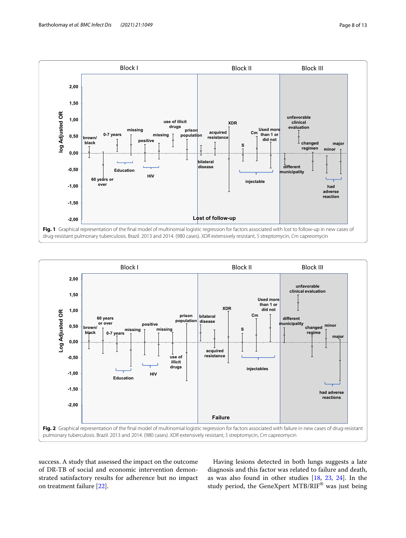

<span id="page-7-0"></span>

<span id="page-7-1"></span>success. A study that assessed the impact on the outcome of DR-TB of social and economic intervention demonstrated satisfactory results for adherence but no impact on treatment failure [[22\]](#page-12-4).

Having lesions detected in both lungs suggests a late diagnosis and this factor was related to failure and death, as was also found in other studies [\[18](#page-12-0), [23](#page-12-5), [24\]](#page-12-6). In the study period, the GeneXpert MTB/RIF® was just being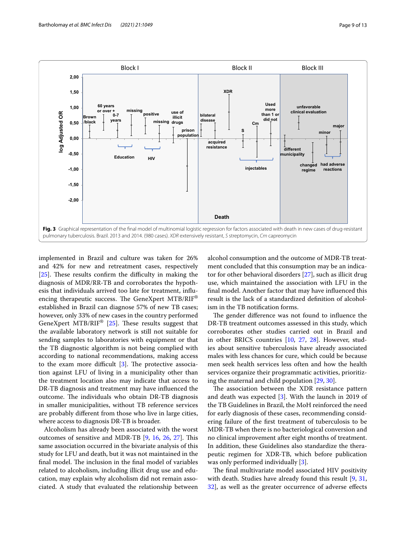

<span id="page-8-0"></span>implemented in Brazil and culture was taken for 26% and 42% for new and retreatment cases, respectively [ $25$ ]. These results confirm the difficulty in making the diagnosis of MDR/RR-TB and corroborates the hypothesis that individuals arrived too late for treatment, infuencing therapeutic success. The GeneXpert  $MTB/RIF^{\otimes}$ established in Brazil can diagnose 57% of new TB cases; however, only 33% of new cases in the country performed GeneXpert MTB/RIF®  $[25]$  $[25]$ . These results suggest that the available laboratory network is still not suitable for sending samples to laboratories with equipment or that the TB diagnostic algorithm is not being complied with according to national recommendations, making access to the exam more difficult  $[3]$  $[3]$ . The protective association against LFU of living in a municipality other than the treatment location also may indicate that access to DR-TB diagnosis and treatment may have infuenced the outcome. The individuals who obtain DR-TB diagnosis in smaller municipalities, without TB reference services are probably diferent from those who live in large cities, where access to diagnosis DR-TB is broader.

Alcoholism has already been associated with the worst outcomes of sensitive and MDR-TB [[9,](#page-11-7) [16](#page-11-15), [26,](#page-12-8) [27](#page-12-9)]. This same association occurred in the bivariate analysis of this study for LFU and death, but it was not maintained in the final model. The inclusion in the final model of variables related to alcoholism, including illicit drug use and education, may explain why alcoholism did not remain associated. A study that evaluated the relationship between alcohol consumption and the outcome of MDR-TB treatment concluded that this consumption may be an indicator for other behavioral disorders [\[27](#page-12-9)], such as illicit drug use, which maintained the association with LFU in the fnal model. Another factor that may have infuenced this result is the lack of a standardized defnition of alcoholism in the TB notifcation forms.

The gender difference was not found to influence the DR-TB treatment outcomes assessed in this study, which corroborates other studies carried out in Brazil and in other BRICS countries [\[10](#page-11-8), [27,](#page-12-9) [28](#page-12-10)]. However, studies about sensitive tuberculosis have already associated males with less chances for cure, which could be because men seek health services less often and how the health services organize their programmatic activities, prioritizing the maternal and child population [\[29](#page-12-11), [30](#page-12-12)].

The association between the XDR resistance pattern and death was expected [\[3](#page-11-2)]. With the launch in 2019 of the TB Guidelines in Brazil, the MoH reinforced the need for early diagnosis of these cases, recommending considering failure of the frst treatment of tuberculosis to be MDR-TB when there is no bacteriological conversion and no clinical improvement after eight months of treatment. In addition, these Guidelines also standardize the therapeutic regimen for XDR-TB, which before publication was only performed individually [[3\]](#page-11-2).

The final multivariate model associated HIV positivity with death. Studies have already found this result [\[9](#page-11-7), [31](#page-12-13), [32\]](#page-12-14), as well as the greater occurrence of adverse efects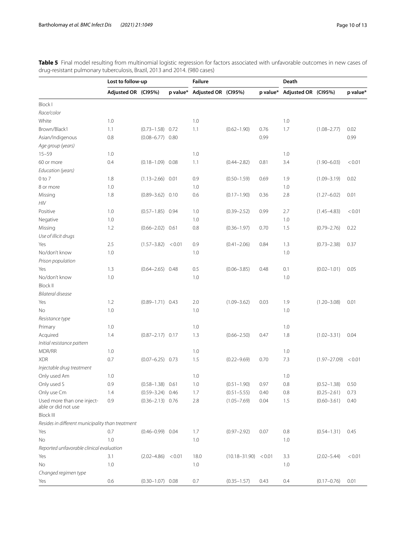<span id="page-9-0"></span>**Table 5** Final model resulting from multinomial logistic regression for factors associated with unfavorable outcomes in new cases of drug-resistant pulmonary tuberculosis, Brazil, 2013 and 2014. (980 cases)

| p value* Adjusted OR (CI95%)<br>Adjusted OR (CI95%)<br>p value* Adjusted OR (CI95%)<br>p value*<br><b>Block I</b><br>Race/color<br>1.0<br>White<br>1.0<br>1.0<br>Brown/Black1<br>1.1<br>$(0.73 - 1.58)$ 0.72<br>1.1<br>1.7<br>$(0.62 - 1.90)$<br>0.76<br>$(1.08 - 2.77)$<br>0.02<br>$(0.08 - 6.77)$ 0.80<br>0.99<br>0.99<br>Asian/Indigenous<br>0.8<br>Age group (years)<br>$15 - 59$<br>1.0<br>1.0<br>1.0<br>60 or more<br>0.4<br>$(0.18 - 1.09)$ 0.08<br>1.1<br>$(0.44 - 2.82)$<br>0.81<br>3.4<br>$(1.90 - 6.03)$<br>< 0.01<br>Education (years)<br>$0$ to $7$<br>1.8<br>$(1.13 - 2.66)$ 0.01<br>0.9<br>0.69<br>1.9<br>0.02<br>$(0.50 - 1.59)$<br>$(1.09 - 3.19)$<br>1.0<br>1.0<br>1.0<br>8 or more<br>1.8<br>0.6<br>2.8<br>0.01<br>$(0.89 - 3.62)$ 0.10<br>$(0.17 - 1.90)$<br>0.36<br>$(1.27 - 6.02)$<br>Missing<br>HIV<br>Positive<br>1.0<br>$(0.57 - 1.85)$ 0.94<br>1.0<br>0.99<br>2.7<br>< 0.01<br>$(0.39 - 2.52)$<br>$(1.45 - 4.83)$<br>1.0<br>1.0<br>1.0<br>Negative<br>0.8<br>1.2<br>$(0.66 - 2.02)$ 0.61<br>0.70<br>1.5<br>Missing<br>$(0.36 - 1.97)$<br>$(0.79 - 2.76)$<br>0.22<br>Use of illicit drugs<br>0.9<br>2.5<br>$(1.57 - 3.82) < 0.01$<br>1.3<br>0.37<br>Yes<br>$(0.41 - 2.06)$<br>0.84<br>$(0.73 - 2.38)$<br>No/don't know<br>1.0<br>1.0<br>1.0<br>Prison population<br>1.3<br>$(0.64 - 2.65)$ 0.48<br>0.5<br>$(0.06 - 3.85)$<br>0.1<br>Yes<br>0.48<br>$(0.02 - 1.01)$<br>0.05<br>No/don't know<br>1.0<br>1.0<br>1.0<br><b>Block II</b><br>Bilateral disease<br>1.2<br>$(0.89 - 1.71)$ 0.43<br>2.0<br>$(1.09 - 3.62)$<br>0.03<br>1.9<br>0.01<br>Yes<br>$(1.20 - 3.08)$<br>1.0<br>1.0<br>1.0<br>No.<br>Resistance type<br>1.0<br>1.0<br>1.0<br>Primary<br>Acquired<br>1.3<br>1.8<br>1.4<br>$(0.87 - 2.17)$ 0.17<br>$(0.66 - 2.50)$<br>0.47<br>$(1.02 - 3.31)$<br>0.04<br>Initial resistance pattern<br>MDR/RR<br>1.0<br>1.0<br>1.0<br>1.5<br><b>XDR</b><br>0.7<br>7.3<br>$(0.07 - 6.25)$ 0.73<br>$(0.22 - 9.69)$<br>0.70<br>$(1.97 - 27.09)$<br>< 0.01<br>Injectable drug treatment<br>Only used Am<br>1.0<br>1.0<br>1.0<br>Only used S<br>$(0.52 - 1.38)$<br>0.9<br>$(0.58 - 1.38)$ 0.61<br>1.0<br>$(0.51 - 1.90)$<br>0.97<br>0.8<br>0.50<br>Only use Cm<br>1.7<br>1.4<br>$(0.59 - 3.24)$ 0.46<br>$(0.51 - 5.55)$<br>0.8<br>$(0.25 - 2.61)$<br>0.73<br>0.40<br>Used more than one inject-<br>0.9<br>2.8<br>1.5<br>$(0.60 - 3.61)$<br>0.40<br>$(0.36 - 2.13)$ 0.76<br>$(1.05 - 7.69)$<br>0.04<br>able or did not use<br><b>Block III</b><br>Resides in different municipality than treatment<br>0.7<br>$(0.46 - 0.99)$ 0.04<br>1.7<br>Yes<br>$(0.97 - 2.92)$<br>0.07<br>0.8<br>$(0.54 - 1.31)$<br>0.45<br>1.0<br>1.0<br>1.0<br>No<br>Reported unfavorable clinical evaluation<br>3.1<br>18.0<br>< 0.01<br>Yes<br>$(2.02 - 4.86) < 0.01$<br>$(10.18 - 31.90)$ < 0.01<br>3.3<br>$(2.02 - 5.44)$<br>1.0<br>1.0<br>No<br>1.0<br>Changed regimen type<br>Yes<br>0.6<br>$(0.30 - 1.07)$ 0.08<br>0.7<br>$(0.35 - 1.57)$<br>0.43<br>0.4<br>$(0.17 - 0.76)$<br>0.01 | Lost to follow-up |  | <b>Failure</b> |  | Death |  |
|--------------------------------------------------------------------------------------------------------------------------------------------------------------------------------------------------------------------------------------------------------------------------------------------------------------------------------------------------------------------------------------------------------------------------------------------------------------------------------------------------------------------------------------------------------------------------------------------------------------------------------------------------------------------------------------------------------------------------------------------------------------------------------------------------------------------------------------------------------------------------------------------------------------------------------------------------------------------------------------------------------------------------------------------------------------------------------------------------------------------------------------------------------------------------------------------------------------------------------------------------------------------------------------------------------------------------------------------------------------------------------------------------------------------------------------------------------------------------------------------------------------------------------------------------------------------------------------------------------------------------------------------------------------------------------------------------------------------------------------------------------------------------------------------------------------------------------------------------------------------------------------------------------------------------------------------------------------------------------------------------------------------------------------------------------------------------------------------------------------------------------------------------------------------------------------------------------------------------------------------------------------------------------------------------------------------------------------------------------------------------------------------------------------------------------------------------------------------------------------------------------------------------------------------------------------------------------------------------------------------------------------------------------------------------------------------------------------------------------------------------------------------------------------------------------------------------------------------------------------------------------------------------------------------------------------------------------------------------------|-------------------|--|----------------|--|-------|--|
|                                                                                                                                                                                                                                                                                                                                                                                                                                                                                                                                                                                                                                                                                                                                                                                                                                                                                                                                                                                                                                                                                                                                                                                                                                                                                                                                                                                                                                                                                                                                                                                                                                                                                                                                                                                                                                                                                                                                                                                                                                                                                                                                                                                                                                                                                                                                                                                                                                                                                                                                                                                                                                                                                                                                                                                                                                                                                                                                                                                |                   |  |                |  |       |  |
|                                                                                                                                                                                                                                                                                                                                                                                                                                                                                                                                                                                                                                                                                                                                                                                                                                                                                                                                                                                                                                                                                                                                                                                                                                                                                                                                                                                                                                                                                                                                                                                                                                                                                                                                                                                                                                                                                                                                                                                                                                                                                                                                                                                                                                                                                                                                                                                                                                                                                                                                                                                                                                                                                                                                                                                                                                                                                                                                                                                |                   |  |                |  |       |  |
|                                                                                                                                                                                                                                                                                                                                                                                                                                                                                                                                                                                                                                                                                                                                                                                                                                                                                                                                                                                                                                                                                                                                                                                                                                                                                                                                                                                                                                                                                                                                                                                                                                                                                                                                                                                                                                                                                                                                                                                                                                                                                                                                                                                                                                                                                                                                                                                                                                                                                                                                                                                                                                                                                                                                                                                                                                                                                                                                                                                |                   |  |                |  |       |  |
|                                                                                                                                                                                                                                                                                                                                                                                                                                                                                                                                                                                                                                                                                                                                                                                                                                                                                                                                                                                                                                                                                                                                                                                                                                                                                                                                                                                                                                                                                                                                                                                                                                                                                                                                                                                                                                                                                                                                                                                                                                                                                                                                                                                                                                                                                                                                                                                                                                                                                                                                                                                                                                                                                                                                                                                                                                                                                                                                                                                |                   |  |                |  |       |  |
|                                                                                                                                                                                                                                                                                                                                                                                                                                                                                                                                                                                                                                                                                                                                                                                                                                                                                                                                                                                                                                                                                                                                                                                                                                                                                                                                                                                                                                                                                                                                                                                                                                                                                                                                                                                                                                                                                                                                                                                                                                                                                                                                                                                                                                                                                                                                                                                                                                                                                                                                                                                                                                                                                                                                                                                                                                                                                                                                                                                |                   |  |                |  |       |  |
|                                                                                                                                                                                                                                                                                                                                                                                                                                                                                                                                                                                                                                                                                                                                                                                                                                                                                                                                                                                                                                                                                                                                                                                                                                                                                                                                                                                                                                                                                                                                                                                                                                                                                                                                                                                                                                                                                                                                                                                                                                                                                                                                                                                                                                                                                                                                                                                                                                                                                                                                                                                                                                                                                                                                                                                                                                                                                                                                                                                |                   |  |                |  |       |  |
|                                                                                                                                                                                                                                                                                                                                                                                                                                                                                                                                                                                                                                                                                                                                                                                                                                                                                                                                                                                                                                                                                                                                                                                                                                                                                                                                                                                                                                                                                                                                                                                                                                                                                                                                                                                                                                                                                                                                                                                                                                                                                                                                                                                                                                                                                                                                                                                                                                                                                                                                                                                                                                                                                                                                                                                                                                                                                                                                                                                |                   |  |                |  |       |  |
|                                                                                                                                                                                                                                                                                                                                                                                                                                                                                                                                                                                                                                                                                                                                                                                                                                                                                                                                                                                                                                                                                                                                                                                                                                                                                                                                                                                                                                                                                                                                                                                                                                                                                                                                                                                                                                                                                                                                                                                                                                                                                                                                                                                                                                                                                                                                                                                                                                                                                                                                                                                                                                                                                                                                                                                                                                                                                                                                                                                |                   |  |                |  |       |  |
|                                                                                                                                                                                                                                                                                                                                                                                                                                                                                                                                                                                                                                                                                                                                                                                                                                                                                                                                                                                                                                                                                                                                                                                                                                                                                                                                                                                                                                                                                                                                                                                                                                                                                                                                                                                                                                                                                                                                                                                                                                                                                                                                                                                                                                                                                                                                                                                                                                                                                                                                                                                                                                                                                                                                                                                                                                                                                                                                                                                |                   |  |                |  |       |  |
|                                                                                                                                                                                                                                                                                                                                                                                                                                                                                                                                                                                                                                                                                                                                                                                                                                                                                                                                                                                                                                                                                                                                                                                                                                                                                                                                                                                                                                                                                                                                                                                                                                                                                                                                                                                                                                                                                                                                                                                                                                                                                                                                                                                                                                                                                                                                                                                                                                                                                                                                                                                                                                                                                                                                                                                                                                                                                                                                                                                |                   |  |                |  |       |  |
|                                                                                                                                                                                                                                                                                                                                                                                                                                                                                                                                                                                                                                                                                                                                                                                                                                                                                                                                                                                                                                                                                                                                                                                                                                                                                                                                                                                                                                                                                                                                                                                                                                                                                                                                                                                                                                                                                                                                                                                                                                                                                                                                                                                                                                                                                                                                                                                                                                                                                                                                                                                                                                                                                                                                                                                                                                                                                                                                                                                |                   |  |                |  |       |  |
|                                                                                                                                                                                                                                                                                                                                                                                                                                                                                                                                                                                                                                                                                                                                                                                                                                                                                                                                                                                                                                                                                                                                                                                                                                                                                                                                                                                                                                                                                                                                                                                                                                                                                                                                                                                                                                                                                                                                                                                                                                                                                                                                                                                                                                                                                                                                                                                                                                                                                                                                                                                                                                                                                                                                                                                                                                                                                                                                                                                |                   |  |                |  |       |  |
|                                                                                                                                                                                                                                                                                                                                                                                                                                                                                                                                                                                                                                                                                                                                                                                                                                                                                                                                                                                                                                                                                                                                                                                                                                                                                                                                                                                                                                                                                                                                                                                                                                                                                                                                                                                                                                                                                                                                                                                                                                                                                                                                                                                                                                                                                                                                                                                                                                                                                                                                                                                                                                                                                                                                                                                                                                                                                                                                                                                |                   |  |                |  |       |  |
|                                                                                                                                                                                                                                                                                                                                                                                                                                                                                                                                                                                                                                                                                                                                                                                                                                                                                                                                                                                                                                                                                                                                                                                                                                                                                                                                                                                                                                                                                                                                                                                                                                                                                                                                                                                                                                                                                                                                                                                                                                                                                                                                                                                                                                                                                                                                                                                                                                                                                                                                                                                                                                                                                                                                                                                                                                                                                                                                                                                |                   |  |                |  |       |  |
|                                                                                                                                                                                                                                                                                                                                                                                                                                                                                                                                                                                                                                                                                                                                                                                                                                                                                                                                                                                                                                                                                                                                                                                                                                                                                                                                                                                                                                                                                                                                                                                                                                                                                                                                                                                                                                                                                                                                                                                                                                                                                                                                                                                                                                                                                                                                                                                                                                                                                                                                                                                                                                                                                                                                                                                                                                                                                                                                                                                |                   |  |                |  |       |  |
|                                                                                                                                                                                                                                                                                                                                                                                                                                                                                                                                                                                                                                                                                                                                                                                                                                                                                                                                                                                                                                                                                                                                                                                                                                                                                                                                                                                                                                                                                                                                                                                                                                                                                                                                                                                                                                                                                                                                                                                                                                                                                                                                                                                                                                                                                                                                                                                                                                                                                                                                                                                                                                                                                                                                                                                                                                                                                                                                                                                |                   |  |                |  |       |  |
|                                                                                                                                                                                                                                                                                                                                                                                                                                                                                                                                                                                                                                                                                                                                                                                                                                                                                                                                                                                                                                                                                                                                                                                                                                                                                                                                                                                                                                                                                                                                                                                                                                                                                                                                                                                                                                                                                                                                                                                                                                                                                                                                                                                                                                                                                                                                                                                                                                                                                                                                                                                                                                                                                                                                                                                                                                                                                                                                                                                |                   |  |                |  |       |  |
|                                                                                                                                                                                                                                                                                                                                                                                                                                                                                                                                                                                                                                                                                                                                                                                                                                                                                                                                                                                                                                                                                                                                                                                                                                                                                                                                                                                                                                                                                                                                                                                                                                                                                                                                                                                                                                                                                                                                                                                                                                                                                                                                                                                                                                                                                                                                                                                                                                                                                                                                                                                                                                                                                                                                                                                                                                                                                                                                                                                |                   |  |                |  |       |  |
|                                                                                                                                                                                                                                                                                                                                                                                                                                                                                                                                                                                                                                                                                                                                                                                                                                                                                                                                                                                                                                                                                                                                                                                                                                                                                                                                                                                                                                                                                                                                                                                                                                                                                                                                                                                                                                                                                                                                                                                                                                                                                                                                                                                                                                                                                                                                                                                                                                                                                                                                                                                                                                                                                                                                                                                                                                                                                                                                                                                |                   |  |                |  |       |  |
|                                                                                                                                                                                                                                                                                                                                                                                                                                                                                                                                                                                                                                                                                                                                                                                                                                                                                                                                                                                                                                                                                                                                                                                                                                                                                                                                                                                                                                                                                                                                                                                                                                                                                                                                                                                                                                                                                                                                                                                                                                                                                                                                                                                                                                                                                                                                                                                                                                                                                                                                                                                                                                                                                                                                                                                                                                                                                                                                                                                |                   |  |                |  |       |  |
|                                                                                                                                                                                                                                                                                                                                                                                                                                                                                                                                                                                                                                                                                                                                                                                                                                                                                                                                                                                                                                                                                                                                                                                                                                                                                                                                                                                                                                                                                                                                                                                                                                                                                                                                                                                                                                                                                                                                                                                                                                                                                                                                                                                                                                                                                                                                                                                                                                                                                                                                                                                                                                                                                                                                                                                                                                                                                                                                                                                |                   |  |                |  |       |  |
|                                                                                                                                                                                                                                                                                                                                                                                                                                                                                                                                                                                                                                                                                                                                                                                                                                                                                                                                                                                                                                                                                                                                                                                                                                                                                                                                                                                                                                                                                                                                                                                                                                                                                                                                                                                                                                                                                                                                                                                                                                                                                                                                                                                                                                                                                                                                                                                                                                                                                                                                                                                                                                                                                                                                                                                                                                                                                                                                                                                |                   |  |                |  |       |  |
|                                                                                                                                                                                                                                                                                                                                                                                                                                                                                                                                                                                                                                                                                                                                                                                                                                                                                                                                                                                                                                                                                                                                                                                                                                                                                                                                                                                                                                                                                                                                                                                                                                                                                                                                                                                                                                                                                                                                                                                                                                                                                                                                                                                                                                                                                                                                                                                                                                                                                                                                                                                                                                                                                                                                                                                                                                                                                                                                                                                |                   |  |                |  |       |  |
|                                                                                                                                                                                                                                                                                                                                                                                                                                                                                                                                                                                                                                                                                                                                                                                                                                                                                                                                                                                                                                                                                                                                                                                                                                                                                                                                                                                                                                                                                                                                                                                                                                                                                                                                                                                                                                                                                                                                                                                                                                                                                                                                                                                                                                                                                                                                                                                                                                                                                                                                                                                                                                                                                                                                                                                                                                                                                                                                                                                |                   |  |                |  |       |  |
|                                                                                                                                                                                                                                                                                                                                                                                                                                                                                                                                                                                                                                                                                                                                                                                                                                                                                                                                                                                                                                                                                                                                                                                                                                                                                                                                                                                                                                                                                                                                                                                                                                                                                                                                                                                                                                                                                                                                                                                                                                                                                                                                                                                                                                                                                                                                                                                                                                                                                                                                                                                                                                                                                                                                                                                                                                                                                                                                                                                |                   |  |                |  |       |  |
|                                                                                                                                                                                                                                                                                                                                                                                                                                                                                                                                                                                                                                                                                                                                                                                                                                                                                                                                                                                                                                                                                                                                                                                                                                                                                                                                                                                                                                                                                                                                                                                                                                                                                                                                                                                                                                                                                                                                                                                                                                                                                                                                                                                                                                                                                                                                                                                                                                                                                                                                                                                                                                                                                                                                                                                                                                                                                                                                                                                |                   |  |                |  |       |  |
|                                                                                                                                                                                                                                                                                                                                                                                                                                                                                                                                                                                                                                                                                                                                                                                                                                                                                                                                                                                                                                                                                                                                                                                                                                                                                                                                                                                                                                                                                                                                                                                                                                                                                                                                                                                                                                                                                                                                                                                                                                                                                                                                                                                                                                                                                                                                                                                                                                                                                                                                                                                                                                                                                                                                                                                                                                                                                                                                                                                |                   |  |                |  |       |  |
|                                                                                                                                                                                                                                                                                                                                                                                                                                                                                                                                                                                                                                                                                                                                                                                                                                                                                                                                                                                                                                                                                                                                                                                                                                                                                                                                                                                                                                                                                                                                                                                                                                                                                                                                                                                                                                                                                                                                                                                                                                                                                                                                                                                                                                                                                                                                                                                                                                                                                                                                                                                                                                                                                                                                                                                                                                                                                                                                                                                |                   |  |                |  |       |  |
|                                                                                                                                                                                                                                                                                                                                                                                                                                                                                                                                                                                                                                                                                                                                                                                                                                                                                                                                                                                                                                                                                                                                                                                                                                                                                                                                                                                                                                                                                                                                                                                                                                                                                                                                                                                                                                                                                                                                                                                                                                                                                                                                                                                                                                                                                                                                                                                                                                                                                                                                                                                                                                                                                                                                                                                                                                                                                                                                                                                |                   |  |                |  |       |  |
|                                                                                                                                                                                                                                                                                                                                                                                                                                                                                                                                                                                                                                                                                                                                                                                                                                                                                                                                                                                                                                                                                                                                                                                                                                                                                                                                                                                                                                                                                                                                                                                                                                                                                                                                                                                                                                                                                                                                                                                                                                                                                                                                                                                                                                                                                                                                                                                                                                                                                                                                                                                                                                                                                                                                                                                                                                                                                                                                                                                |                   |  |                |  |       |  |
|                                                                                                                                                                                                                                                                                                                                                                                                                                                                                                                                                                                                                                                                                                                                                                                                                                                                                                                                                                                                                                                                                                                                                                                                                                                                                                                                                                                                                                                                                                                                                                                                                                                                                                                                                                                                                                                                                                                                                                                                                                                                                                                                                                                                                                                                                                                                                                                                                                                                                                                                                                                                                                                                                                                                                                                                                                                                                                                                                                                |                   |  |                |  |       |  |
|                                                                                                                                                                                                                                                                                                                                                                                                                                                                                                                                                                                                                                                                                                                                                                                                                                                                                                                                                                                                                                                                                                                                                                                                                                                                                                                                                                                                                                                                                                                                                                                                                                                                                                                                                                                                                                                                                                                                                                                                                                                                                                                                                                                                                                                                                                                                                                                                                                                                                                                                                                                                                                                                                                                                                                                                                                                                                                                                                                                |                   |  |                |  |       |  |
|                                                                                                                                                                                                                                                                                                                                                                                                                                                                                                                                                                                                                                                                                                                                                                                                                                                                                                                                                                                                                                                                                                                                                                                                                                                                                                                                                                                                                                                                                                                                                                                                                                                                                                                                                                                                                                                                                                                                                                                                                                                                                                                                                                                                                                                                                                                                                                                                                                                                                                                                                                                                                                                                                                                                                                                                                                                                                                                                                                                |                   |  |                |  |       |  |
|                                                                                                                                                                                                                                                                                                                                                                                                                                                                                                                                                                                                                                                                                                                                                                                                                                                                                                                                                                                                                                                                                                                                                                                                                                                                                                                                                                                                                                                                                                                                                                                                                                                                                                                                                                                                                                                                                                                                                                                                                                                                                                                                                                                                                                                                                                                                                                                                                                                                                                                                                                                                                                                                                                                                                                                                                                                                                                                                                                                |                   |  |                |  |       |  |
|                                                                                                                                                                                                                                                                                                                                                                                                                                                                                                                                                                                                                                                                                                                                                                                                                                                                                                                                                                                                                                                                                                                                                                                                                                                                                                                                                                                                                                                                                                                                                                                                                                                                                                                                                                                                                                                                                                                                                                                                                                                                                                                                                                                                                                                                                                                                                                                                                                                                                                                                                                                                                                                                                                                                                                                                                                                                                                                                                                                |                   |  |                |  |       |  |
|                                                                                                                                                                                                                                                                                                                                                                                                                                                                                                                                                                                                                                                                                                                                                                                                                                                                                                                                                                                                                                                                                                                                                                                                                                                                                                                                                                                                                                                                                                                                                                                                                                                                                                                                                                                                                                                                                                                                                                                                                                                                                                                                                                                                                                                                                                                                                                                                                                                                                                                                                                                                                                                                                                                                                                                                                                                                                                                                                                                |                   |  |                |  |       |  |
|                                                                                                                                                                                                                                                                                                                                                                                                                                                                                                                                                                                                                                                                                                                                                                                                                                                                                                                                                                                                                                                                                                                                                                                                                                                                                                                                                                                                                                                                                                                                                                                                                                                                                                                                                                                                                                                                                                                                                                                                                                                                                                                                                                                                                                                                                                                                                                                                                                                                                                                                                                                                                                                                                                                                                                                                                                                                                                                                                                                |                   |  |                |  |       |  |
|                                                                                                                                                                                                                                                                                                                                                                                                                                                                                                                                                                                                                                                                                                                                                                                                                                                                                                                                                                                                                                                                                                                                                                                                                                                                                                                                                                                                                                                                                                                                                                                                                                                                                                                                                                                                                                                                                                                                                                                                                                                                                                                                                                                                                                                                                                                                                                                                                                                                                                                                                                                                                                                                                                                                                                                                                                                                                                                                                                                |                   |  |                |  |       |  |
|                                                                                                                                                                                                                                                                                                                                                                                                                                                                                                                                                                                                                                                                                                                                                                                                                                                                                                                                                                                                                                                                                                                                                                                                                                                                                                                                                                                                                                                                                                                                                                                                                                                                                                                                                                                                                                                                                                                                                                                                                                                                                                                                                                                                                                                                                                                                                                                                                                                                                                                                                                                                                                                                                                                                                                                                                                                                                                                                                                                |                   |  |                |  |       |  |
|                                                                                                                                                                                                                                                                                                                                                                                                                                                                                                                                                                                                                                                                                                                                                                                                                                                                                                                                                                                                                                                                                                                                                                                                                                                                                                                                                                                                                                                                                                                                                                                                                                                                                                                                                                                                                                                                                                                                                                                                                                                                                                                                                                                                                                                                                                                                                                                                                                                                                                                                                                                                                                                                                                                                                                                                                                                                                                                                                                                |                   |  |                |  |       |  |
|                                                                                                                                                                                                                                                                                                                                                                                                                                                                                                                                                                                                                                                                                                                                                                                                                                                                                                                                                                                                                                                                                                                                                                                                                                                                                                                                                                                                                                                                                                                                                                                                                                                                                                                                                                                                                                                                                                                                                                                                                                                                                                                                                                                                                                                                                                                                                                                                                                                                                                                                                                                                                                                                                                                                                                                                                                                                                                                                                                                |                   |  |                |  |       |  |
|                                                                                                                                                                                                                                                                                                                                                                                                                                                                                                                                                                                                                                                                                                                                                                                                                                                                                                                                                                                                                                                                                                                                                                                                                                                                                                                                                                                                                                                                                                                                                                                                                                                                                                                                                                                                                                                                                                                                                                                                                                                                                                                                                                                                                                                                                                                                                                                                                                                                                                                                                                                                                                                                                                                                                                                                                                                                                                                                                                                |                   |  |                |  |       |  |
|                                                                                                                                                                                                                                                                                                                                                                                                                                                                                                                                                                                                                                                                                                                                                                                                                                                                                                                                                                                                                                                                                                                                                                                                                                                                                                                                                                                                                                                                                                                                                                                                                                                                                                                                                                                                                                                                                                                                                                                                                                                                                                                                                                                                                                                                                                                                                                                                                                                                                                                                                                                                                                                                                                                                                                                                                                                                                                                                                                                |                   |  |                |  |       |  |
|                                                                                                                                                                                                                                                                                                                                                                                                                                                                                                                                                                                                                                                                                                                                                                                                                                                                                                                                                                                                                                                                                                                                                                                                                                                                                                                                                                                                                                                                                                                                                                                                                                                                                                                                                                                                                                                                                                                                                                                                                                                                                                                                                                                                                                                                                                                                                                                                                                                                                                                                                                                                                                                                                                                                                                                                                                                                                                                                                                                |                   |  |                |  |       |  |
|                                                                                                                                                                                                                                                                                                                                                                                                                                                                                                                                                                                                                                                                                                                                                                                                                                                                                                                                                                                                                                                                                                                                                                                                                                                                                                                                                                                                                                                                                                                                                                                                                                                                                                                                                                                                                                                                                                                                                                                                                                                                                                                                                                                                                                                                                                                                                                                                                                                                                                                                                                                                                                                                                                                                                                                                                                                                                                                                                                                |                   |  |                |  |       |  |
|                                                                                                                                                                                                                                                                                                                                                                                                                                                                                                                                                                                                                                                                                                                                                                                                                                                                                                                                                                                                                                                                                                                                                                                                                                                                                                                                                                                                                                                                                                                                                                                                                                                                                                                                                                                                                                                                                                                                                                                                                                                                                                                                                                                                                                                                                                                                                                                                                                                                                                                                                                                                                                                                                                                                                                                                                                                                                                                                                                                |                   |  |                |  |       |  |
|                                                                                                                                                                                                                                                                                                                                                                                                                                                                                                                                                                                                                                                                                                                                                                                                                                                                                                                                                                                                                                                                                                                                                                                                                                                                                                                                                                                                                                                                                                                                                                                                                                                                                                                                                                                                                                                                                                                                                                                                                                                                                                                                                                                                                                                                                                                                                                                                                                                                                                                                                                                                                                                                                                                                                                                                                                                                                                                                                                                |                   |  |                |  |       |  |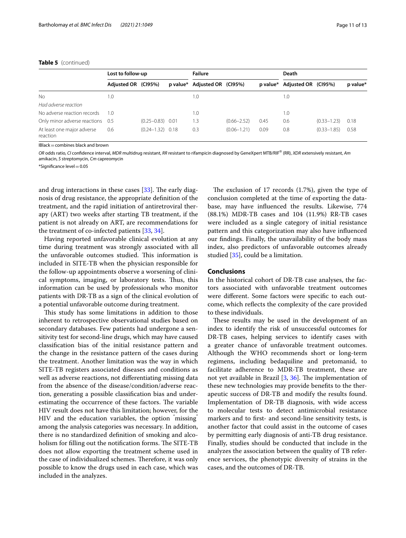#### **Table 5** (continued)

|                                        | Lost to follow-up   |                      | <b>Failure</b>               |                 |      | Death                        |                 |          |
|----------------------------------------|---------------------|----------------------|------------------------------|-----------------|------|------------------------------|-----------------|----------|
|                                        | Adjusted OR (CI95%) |                      | p value* Adjusted OR (CI95%) |                 |      | p value* Adjusted OR (CI95%) |                 | p value* |
| No.                                    | 1.0                 |                      | 1.0                          |                 |      | 1.0                          |                 |          |
| Had adverse reaction                   |                     |                      |                              |                 |      |                              |                 |          |
| No adverse reaction records            | 1.0                 |                      | 1.0                          |                 |      | 1.0                          |                 |          |
| Only minor adverse reactions 0.5       |                     | $(0.25 - 0.83)$ 0.01 | 1.3                          | $(0.66 - 2.52)$ | 0.45 | 0.6                          | $(0.33 - 1.23)$ | 0.18     |
| At least one major adverse<br>reaction | 0.6                 | $(0.24 - 1.32)$ 0.18 | 0.3                          | $(0.06 - 1.21)$ | 0.09 | 0.8                          | $(0.33 - 1.85)$ | 0.58     |

 $IBlack = combines black and brown$ 

*OR* odds ratio, *CI* confdence interval, *MDR* multidrug resistant, *RR* resistant to rifampicin diagnosed by GeneXpert MTB/RIF® (RR), *XDR* extensively resistant, *Am* amikacin, *S* streptomycin, *Cm* capreomycin

\*Signifcance level=0.05

and drug interactions in these cases  $[33]$  $[33]$ . The early diagnosis of drug resistance, the appropriate defnition of the treatment, and the rapid initiation of antiretroviral therapy (ART) two weeks after starting TB treatment, if the patient is not already on ART, are recommendations for the treatment of co-infected patients [[33,](#page-12-15) [34\]](#page-12-16).

Having reported unfavorable clinical evolution at any time during treatment was strongly associated with all the unfavorable outcomes studied. This information is included in SITE-TB when the physician responsible for the follow-up appointments observe a worsening of clinical symptoms, imaging, or laboratory tests. Thus, this information can be used by professionals who monitor patients with DR-TB as a sign of the clinical evolution of a potential unfavorable outcome during treatment.

This study has some limitations in addition to those inherent to retrospective observational studies based on secondary databases. Few patients had undergone a sensitivity test for second-line drugs, which may have caused classifcation bias of the initial resistance pattern and the change in the resistance pattern of the cases during the treatment. Another limitation was the way in which SITE-TB registers associated diseases and conditions as well as adverse reactions, not diferentiating missing data from the absence of the disease/condition/adverse reaction, generating a possible classifcation bias and underestimating the occurrence of these factors. The variable HIV result does not have this limitation; however, for the HIV and the education variables, the option " missing" among the analysis categories was necessary. In addition, there is no standardized defnition of smoking and alcoholism for filling out the notification forms. The SITE-TB does not allow exporting the treatment scheme used in the case of individualized schemes. Therefore, it was only possible to know the drugs used in each case, which was included in the analyzes.

The exclusion of 17 records  $(1.7%)$ , given the type of conclusion completed at the time of exporting the database, may have infuenced the results. Likewise, 774 (88.1%) MDR-TB cases and 104 (11.9%) RR-TB cases were included as a single category of initial resistance pattern and this categorization may also have infuenced our fndings. Finally, the unavailability of the body mass index, also predictors of unfavorable outcomes already studied [\[35](#page-12-17)], could be a limitation.

#### **Conclusions**

In the historical cohort of DR-TB case analyses, the factors associated with unfavorable treatment outcomes were diferent. Some factors were specifc to each outcome, which refects the complexity of the care provided to these individuals.

These results may be used in the development of an index to identify the risk of unsuccessful outcomes for DR-TB cases, helping services to identify cases with a greater chance of unfavorable treatment outcomes. Although the WHO recommends short or long-term regimens, including bedaquiline and pretomanid, to facilitate adherence to MDR-TB treatment, these are not yet available in Brazil  $[3, 36]$  $[3, 36]$  $[3, 36]$  $[3, 36]$ . The implementation of these new technologies may provide benefts to the therapeutic success of DR-TB and modify the results found. Implementation of DR-TB diagnosis, with wide access to molecular tests to detect antimicrobial resistance markers and to frst- and second-line sensitivity tests, is another factor that could assist in the outcome of cases by permitting early diagnosis of anti-TB drug resistance. Finally, studies should be conducted that include in the analyzes the association between the quality of TB reference services, the phenotypic diversity of strains in the cases, and the outcomes of DR-TB.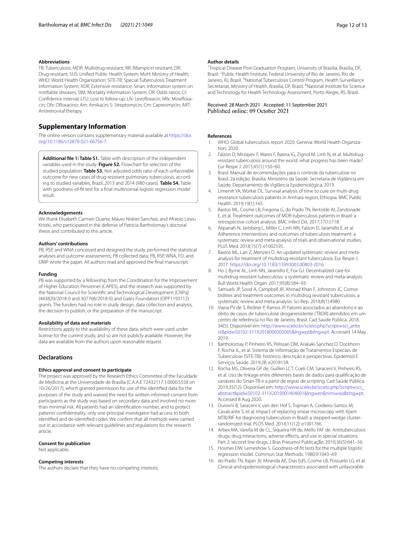#### **Abbreviations**

TB: Tuberculosis; MDR: Multidrug-resistant; RR: Rifampicin resistant; DR: Drug-resistant; SUS: Unifed Public Health System; MoH: Ministry of Health; WHO: World Health Organization; SITE-TB: Special Tuberculosis Treatment Information System; XDR: Extensive resistance; Sinan: Information system on notifable diseases; SIM: Mortality Information System; OR: Odds ratios; CI: Confdence interval; LFU: Lost to follow-up; Lfx: Levofoxacin; Mfx: Moxifoxacin; Ofx: Ofloxacino; Am: Amikacin; S: Streptomycin; Cm: Capreomycin; ART: Antiretroviral therapy.

#### **Supplementary Information**

The online version contains supplementary material available at [https://doi.](https://doi.org/10.1186/s12879-021-06756-7) [org/10.1186/s12879-021-06756-7](https://doi.org/10.1186/s12879-021-06756-7).

<span id="page-11-13"></span>**Additional fle 1: Table S1.** Table with description of the independent variables used in the study. **Figure S2.** Flowchart for selection of the studied population. **Table S3.** Not adjusted odds ratio of each unfavorable outcome for new cases of drug-resistant pulmonary tuberculosis, according to studied variables, Brazil, 2013 and 2014 (980 cases). **Table S4.** Table with goodness-of-ft test for a fnal multinomial logistic regression model result.

#### **Acknowledgements**

We thank Elisabeth Carmen Duarte, Mauro Niskier Sanchez, and Afranio Lineu Kristki, who participated in the defense of Patricia Bartholomay's doctoral thesis and contributed to this article.

#### **Authors' contributions**

PB, RSP, and WNA conceived and designed the study, performed the statistical analyses and outcome assessments; PB collected data; PB, RSP, WNA, FD, and DMP wrote the paper. All authors read and approved the fnal manuscript.

#### **Funding**

PB was supported by a fellowship from the Coordination for the Improvement of Higher Education Personnel (CAPES), and the research was supported by the National Council for Scientifc and Technological Development (CNPq) (443820/2018-0 and 307768/2018-0) and Gates Foundation (OPP1193112) grants. The funders had no role in study design, data collection and analysis, the decision to publish, or the preparation of the manuscript.

#### **Availability of data and materials**

Restrictions apply to the availability of these data, which were used under license for the current study, and so are not publicly available. However, the data are available from the authors upon reasonable request.

#### **Declarations**

#### **Ethics approval and consent to participate**

The project was approved by the Research Ethics Committee of the Faculdade de Medicina at the Universidade de Brasília (C.A.A.E 72432117.1.0000.5558 on 10/26/2017), which granted permission for use of the identifed data for the purposes of the study and waived the need for written informed consent from participants as the study was based on secondary data and involved no more than minimal risk. All patients had an identifcation number, and to protect patients' confdentiality, only one principal investigator had access to both identifed and de-identifed codes. We confrm that all methods were carried out in accordance with relevant guidelines and regulations for the research article.

#### **Consent for publication**

Not applicable.

#### **Competing interests**

The authors declare that they have no competing interests.

#### **Author details**

<sup>1</sup> Tropical Disease Post-Graduation Program, University of Brasilia, Brasília, DF, Brazil. <sup>2</sup> Public Health Institute, Federal University of Rio de Janeiro, Rio de Janeiro, RJ, Brazil. <sup>3</sup> National Tuberculosis Control Program, Health Surveillance Secretariat, Ministry of Health, Brasília, DF, Brazil. <sup>4</sup>National Institute for Science and Technology for Health Technology Assessment, Porto Alegre, RS, Brazil.

# Received: 28 March 2021 Accepted: 11 September 2021

#### **References**

- <span id="page-11-0"></span>WHO. Global tuberculosis report 2020. Geneva: World Health Organization; 2020.
- <span id="page-11-1"></span>2. Falzon D, Mirzayev F, Wares F, Baena IG, Zignol M, Linh N, et al. Multidrugresistant tuberculosis around the world: what progress has been made? Eur Respir J. 2015;45(1):150–60.
- <span id="page-11-2"></span>3. Brasil. Manual de recomendações para o controle da tuberculose no Brasil. 2a edição. Brasília: Ministério da Saúde. Secretaria de Vigilância em Saúde. Departamento de Vigilância Epidemiológica; 2019.
- <span id="page-11-3"></span>4. Limenih YA, Workie DL. Survival analysis of time to cure on multi-drug resistance tuberculosis patients in Amhara region, Ethiopia. BMC Public Health. 2019;19(1):165.
- <span id="page-11-4"></span>5. Bastos ML, Cosme LB, Fregona G, do Prado TN, Bertolde AI, Zandonade E, et al. Treatment outcomes of MDR-tuberculosis patients in Brazil: a retrospective cohort analysis. BMC Infect Dis. 2017;17(1):718.
- <span id="page-11-5"></span>6. Alipanah N, Jarlsberg L, Miller C, Linh NN, Falzon D, Jaramillo E, et al. Adherence interventions and outcomes of tuberculosis treatment: a systematic review and meta-analysis of trials and observational studies. PLoS Med. 2018;15(7): e1002595.
- <span id="page-11-6"></span>7. Bastos ML, Lan Z, Menzies D. An updated systematic review and metaanalysis for treatment of multidrug-resistant tuberculosis. Eur Respir J. 2017. [https://doi.org/10.1183/13993003.00803-2016.](https://doi.org/10.1183/13993003.00803-2016)
- 8. Ho J, Byrne AL, Linh NN, Jaramillo E, Fox GJ. Decentralized care for multidrug-resistant tuberculosis: a systematic review and meta-analysis. Bull World Health Organ. 2017;95(8):584–93.
- <span id="page-11-7"></span>Samuels JP, Sood A, Campbell JR, Ahmad Khan F, Johnston JC. Comorbidities and treatment outcomes in multidrug resistant tuberculosis: a systematic review and meta-analysis. Sci Rep. 2018;8(1):4980.
- <span id="page-11-8"></span>10. Viana PV de S, Redner P, Ramos JP. Fatores associados ao abandono e ao óbito de casos de tuberculose drogarresistente (TBDR) atendidos em um centro de referência no Rio de Janeiro, Brasil. Cad Saúde Pública. 2018. 34(5). Disponível em: [http://www.scielo.br/scielo.php?script](http://www.scielo.br/scielo.php?script=sci_arttext&pid=S0102-311X2018000505005&lng=pt&tlng=pt)=sci\_artte xt&pid=[S0102-311X2018000505005&lng](http://www.scielo.br/scielo.php?script=sci_arttext&pid=S0102-311X2018000505005&lng=pt&tlng=pt)=pt&tlng=pt. Accessed 14 May 2019.
- <span id="page-11-9"></span>11. Bartholomay P, Pinheiro RS, Pelissari DM, Arakaki-Sanchez D, Dockhorn F, Rocha JL, et al. Sistema de Informação de Tratamentos Especiais de Tuberculose (SITE-TB): histórico, descrição e perspectivas. Epidemiol E Serviços Saúde. 2019;28: e2018158.
- <span id="page-11-10"></span>12. Rocha MS, Oliveira GP de, Guillen LCT, Coeli CM, Saraceni V, Pinheiro RS, et al. Uso de linkage entre diferentes bases de dados para qualifcação de variáveis do Sinan-TB e a partir de regras de scripting. Cad Saúde Pública. 2019;35(12). Disponível em: [http://www.scielo.br/scielo.php?script](http://www.scielo.br/scielo.php?script=sci_abstract&pid=S0102-311X2019001404001&lng=en&nrm=iso&tlng=pt)=sci\_ abstract&pid=[S0102-311X2019001404001&lng](http://www.scielo.br/scielo.php?script=sci_abstract&pid=S0102-311X2019001404001&lng=en&nrm=iso&tlng=pt)=en&nrm=iso&tlng=pt. Accessed 8 Aug 2020.
- <span id="page-11-11"></span>13. Durovni B, Saraceni V, van den Hof S, Trajman A, Cordeiro-Santos M, Cavalcante S, et al. Impact of replacing smear microscopy with Xpert MTB/RIF for diagnosing tuberculosis in Brazil: a stepped-wedge clusterrandomized trial. PLOS Med. 2014;11(12): e1001766.
- <span id="page-11-12"></span>14. Arbex MA, Varella M de CL, Siqueira HR de, Mello FAF de. Antituberculosis drugs: drug interactions, adverse effects, and use in special situations. Part 2: second line drugs. J Bras Pneumol Publicação. 2010;36(5):641-56.
- <span id="page-11-14"></span>15. Hosmer DW, Lemeshow S. Goodness-of-ft tests for the multiple logistic regression model. Commun Stat Methods. 1980;9:1043–69.
- <span id="page-11-15"></span>16. do Prado TN, Rajan JV, Miranda AE, Dias EdS, Cosme LB, Possuelo LG, et al. Clinical and epidemiological characteristics associated with unfavorable